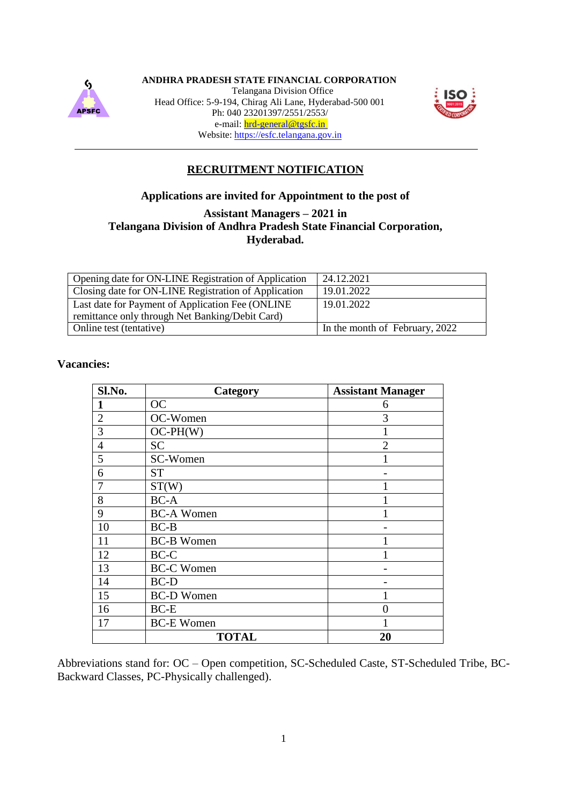

**ANDHRA PRADESH STATE FINANCIAL CORPORATION**

Telangana Division Office Head Office: 5-9-194, Chirag Ali Lane, Hyderabad-500 001 Ph: 040 23201397/2551/2553/ e-mail: hrd-general@tgsfc.in Website: https://esfc.telangana.gov.in



# **RECRUITMENT NOTIFICATION**

# **Applications are invited for Appointment to the post of**

**Assistant Managers – 2021 in**

## **Telangana Division of Andhra Pradesh State Financial Corporation, Hyderabad.**

| Opening date for ON-LINE Registration of Application | 24.12.2021                     |
|------------------------------------------------------|--------------------------------|
| Closing date for ON-LINE Registration of Application | 19.01.2022                     |
| Last date for Payment of Application Fee (ONLINE)    | 19.01.2022                     |
| remittance only through Net Banking/Debit Card)      |                                |
| Online test (tentative)                              | In the month of February, 2022 |

# **Vacancies:**

| Sl.No.         | Category          | <b>Assistant Manager</b> |
|----------------|-------------------|--------------------------|
| 1              | <b>OC</b>         | 6                        |
| $\overline{2}$ | OC-Women          | 3                        |
| 3              | $OC-PH(W)$        |                          |
| $\overline{4}$ | <b>SC</b>         | $\overline{c}$           |
| 5              | SC-Women          |                          |
| 6              | <b>ST</b>         |                          |
| $\overline{7}$ | ST(W)             |                          |
| 8              | <b>BC-A</b>       |                          |
| 9              | <b>BC-A Women</b> |                          |
| 10             | $BC-B$            |                          |
| 11             | <b>BC-B Women</b> |                          |
| 12             | BC-C              |                          |
| 13             | <b>BC-C Women</b> |                          |
| 14             | <b>BC-D</b>       |                          |
| 15             | <b>BC-D Women</b> |                          |
| 16             | $BC-E$            | $\Omega$                 |
| 17             | <b>BC-E Women</b> |                          |
|                | <b>TOTAL</b>      | 20                       |

Abbreviations stand for: OC – Open competition, SC-Scheduled Caste, ST-Scheduled Tribe, BC-Backward Classes, PC-Physically challenged).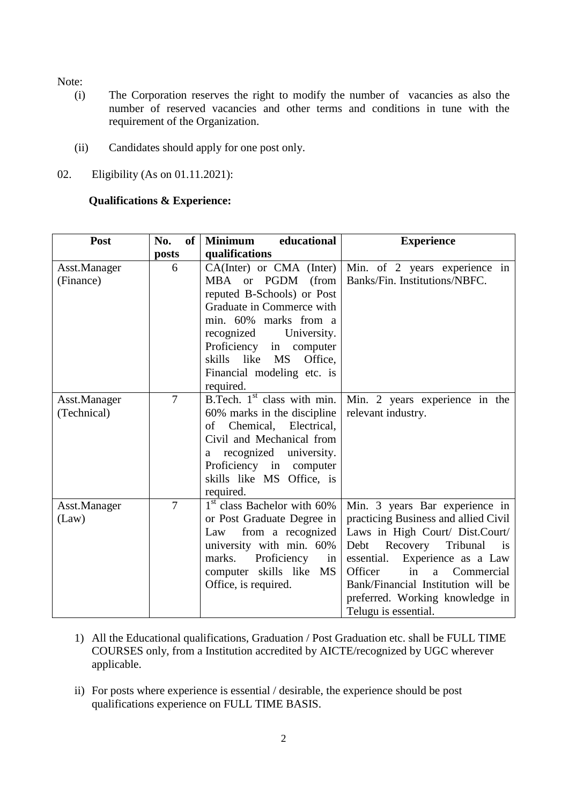Note:

- (i) The Corporation reserves the right to modify the number of vacancies as also the number of reserved vacancies and other terms and conditions in tune with the requirement of the Organization.
- (ii) Candidates should apply for one post only.
- 02. Eligibility (As on 01.11.2021):

#### **Qualifications & Experience:**

| <b>Post</b>  | No.<br>of      | educational<br><b>Minimum</b> | <b>Experience</b>                              |
|--------------|----------------|-------------------------------|------------------------------------------------|
|              | posts          | qualifications                |                                                |
| Asst.Manager | 6              | $CA(Inter)$ or $CMA$ (Inter)  | Min. of 2 years experience in                  |
| (Finance)    |                | MBA or PGDM (from             | Banks/Fin. Institutions/NBFC.                  |
|              |                | reputed B-Schools) or Post    |                                                |
|              |                | Graduate in Commerce with     |                                                |
|              |                | min. 60% marks from a         |                                                |
|              |                | recognized<br>University.     |                                                |
|              |                | Proficiency in<br>computer    |                                                |
|              |                | skills like MS<br>Office,     |                                                |
|              |                | Financial modeling etc. is    |                                                |
|              |                | required.                     |                                                |
| Asst.Manager | $\overline{7}$ | B.Tech. $1st$ class with min. | Min. 2 years experience in the                 |
| (Technical)  |                | 60% marks in the discipline   | relevant industry.                             |
|              |                | Chemical, Electrical,<br>of   |                                                |
|              |                | Civil and Mechanical from     |                                                |
|              |                | recognized university.<br>a   |                                                |
|              |                | Proficiency in computer       |                                                |
|              |                | skills like MS Office, is     |                                                |
|              |                | required.                     |                                                |
| Asst.Manager | $\overline{7}$ | $1st$ class Bachelor with 60% | Min. 3 years Bar experience in                 |
| (Law)        |                | or Post Graduate Degree in    | practicing Business and allied Civil           |
|              |                | from a recognized<br>Law      | Laws in High Court/ Dist.Court/                |
|              |                | university with min. 60%      | Recovery<br>Tribunal<br>Debt<br>$\overline{1}$ |
|              |                | Proficiency<br>marks.<br>in   | Experience as a Law<br>essential.              |
|              |                | computer skills like MS       | Officer<br>in<br>Commercial<br>$\mathbf{a}$    |
|              |                | Office, is required.          | Bank/Financial Institution will be             |
|              |                |                               | preferred. Working knowledge in                |
|              |                |                               | Telugu is essential.                           |

- 1) All the Educational qualifications, Graduation / Post Graduation etc. shall be FULL TIME COURSES only, from a Institution accredited by AICTE/recognized by UGC wherever applicable.
- ii) For posts where experience is essential / desirable, the experience should be post qualifications experience on FULL TIME BASIS.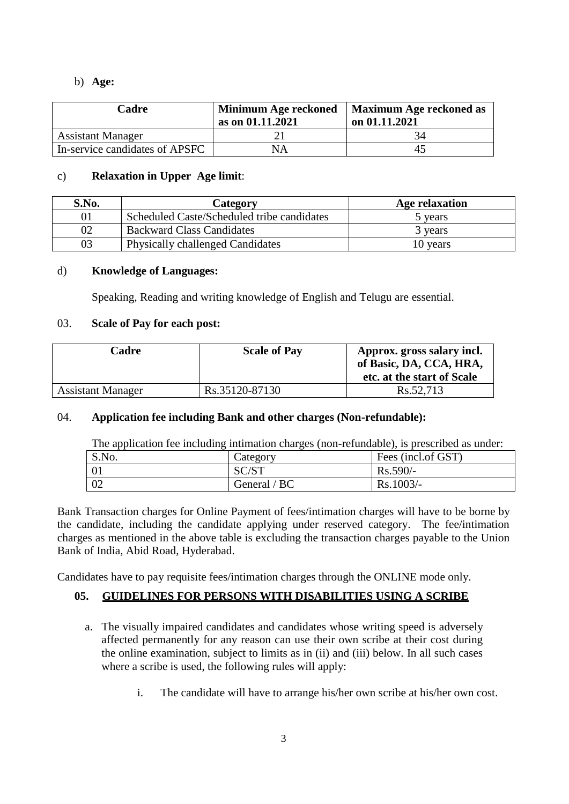## b) **Age:**

| Cadre                          | Minimum Age reckoned<br>as on $01.11.2021$ | <b>Maximum Age reckoned as</b><br>on 01.11.2021 |
|--------------------------------|--------------------------------------------|-------------------------------------------------|
| <b>Assistant Manager</b>       |                                            |                                                 |
| In-service candidates of APSFC | NΑ                                         | 40                                              |

## c) **Relaxation in Upper Age limit**:

| S.No. | Category                                   | Age relaxation |
|-------|--------------------------------------------|----------------|
|       | Scheduled Caste/Scheduled tribe candidates | 5 years        |
|       | <b>Backward Class Candidates</b>           | 3 years        |
| 03    | <b>Physically challenged Candidates</b>    | 10 years       |

# d) **Knowledge of Languages:**

Speaking, Reading and writing knowledge of English and Telugu are essential.

# 03. **Scale of Pay for each post:**

| Cadre                    | <b>Scale of Pay</b> | Approx. gross salary incl.<br>of Basic, DA, CCA, HRA,<br>etc. at the start of Scale |
|--------------------------|---------------------|-------------------------------------------------------------------------------------|
| <b>Assistant Manager</b> | Rs.35120-87130      | Rs.52,713                                                                           |

# 04. **Application fee including Bank and other charges (Non-refundable):**

The application fee including intimation charges (non-refundable), is prescribed as under:

| S.No. | Category     | Fees (incl.of GST) |
|-------|--------------|--------------------|
|       | SC/ST        | $Rs.590/-$         |
| 02    | General / BC | $Rs.1003/-$        |

Bank Transaction charges for Online Payment of fees/intimation charges will have to be borne by the candidate, including the candidate applying under reserved category. The fee/intimation charges as mentioned in the above table is excluding the transaction charges payable to the Union Bank of India, Abid Road, Hyderabad.

Candidates have to pay requisite fees/intimation charges through the ONLINE mode only.

# **05. GUIDELINES FOR PERSONS WITH DISABILITIES USING A SCRIBE**

- a. The visually impaired candidates and candidates whose writing speed is adversely affected permanently for any reason can use their own scribe at their cost during the online examination, subject to limits as in (ii) and (iii) below. In all such cases where a scribe is used, the following rules will apply:
	- i. The candidate will have to arrange his/her own scribe at his/her own cost.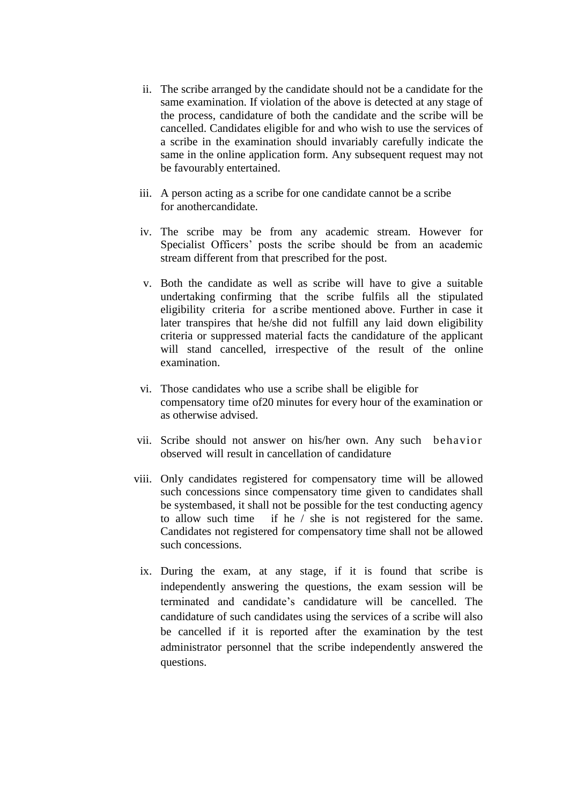- ii. The scribe arranged by the candidate should not be a candidate for the same examination. If violation of the above is detected at any stage of the process, candidature of both the candidate and the scribe will be cancelled. Candidates eligible for and who wish to use the services of a scribe in the examination should invariably carefully indicate the same in the online application form. Any subsequent request may not be favourably entertained.
- iii. A person acting as a scribe for one candidate cannot be a scribe for anothercandidate.
- iv. The scribe may be from any academic stream. However for Specialist Officers' posts the scribe should be from an academic stream different from that prescribed for the post.
- v. Both the candidate as well as scribe will have to give a suitable undertaking confirming that the scribe fulfils all the stipulated eligibility criteria for a scribe mentioned above. Further in case it later transpires that he/she did not fulfill any laid down eligibility criteria or suppressed material facts the candidature of the applicant will stand cancelled, irrespective of the result of the online examination.
- vi. Those candidates who use a scribe shall be eligible for compensatory time of20 minutes for every hour of the examination or as otherwise advised.
- vii. Scribe should not answer on his/her own. Any such behavior observed will result in cancellation of candidature
- viii. Only candidates registered for compensatory time will be allowed such concessions since compensatory time given to candidates shall be systembased, it shall not be possible for the test conducting agency to allow such time if he / she is not registered for the same. Candidates not registered for compensatory time shall not be allowed such concessions.
	- ix. During the exam, at any stage, if it is found that scribe is independently answering the questions, the exam session will be terminated and candidate"s candidature will be cancelled. The candidature of such candidates using the services of a scribe will also be cancelled if it is reported after the examination by the test administrator personnel that the scribe independently answered the questions.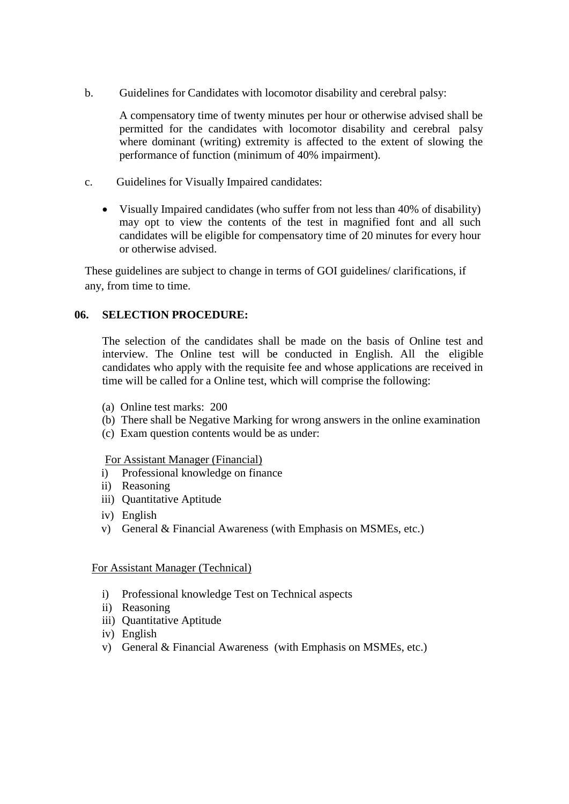b. Guidelines for Candidates with locomotor disability and cerebral palsy:

A compensatory time of twenty minutes per hour or otherwise advised shall be permitted for the candidates with locomotor disability and cerebral palsy where dominant (writing) extremity is affected to the extent of slowing the performance of function (minimum of 40% impairment).

- c. Guidelines for Visually Impaired candidates:
	- Visually Impaired candidates (who suffer from not less than 40% of disability) may opt to view the contents of the test in magnified font and all such candidates will be eligible for compensatory time of 20 minutes for every hour or otherwise advised.

These guidelines are subject to change in terms of GOI guidelines/ clarifications, if any, from time to time.

# **06. SELECTION PROCEDURE:**

The selection of the candidates shall be made on the basis of Online test and interview. The Online test will be conducted in English. All the eligible candidates who apply with the requisite fee and whose applications are received in time will be called for a Online test, which will comprise the following:

- (a) Online test marks: 200
- (b) There shall be Negative Marking for wrong answers in the online examination
- (c) Exam question contents would be as under:

For Assistant Manager (Financial)

- i) Professional knowledge on finance
- ii) Reasoning
- iii) Quantitative Aptitude
- iv) English
- v) General & Financial Awareness (with Emphasis on MSMEs, etc.)

## For Assistant Manager (Technical)

- i) Professional knowledge Test on Technical aspects
- ii) Reasoning
- iii) Quantitative Aptitude
- iv) English
- v) General & Financial Awareness (with Emphasis on MSMEs, etc.)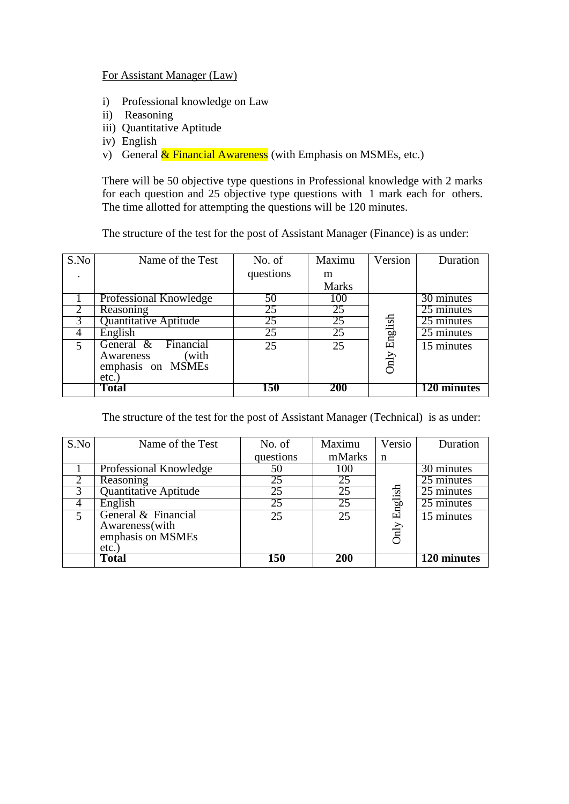## For Assistant Manager (Law)

- i) Professional knowledge on Law
- ii) Reasoning
- iii) Quantitative Aptitude
- iv) English
- v) General  $\&$  Financial Awareness (with Emphasis on MSMEs, etc.)

There will be 50 objective type questions in Professional knowledge with 2 marks for each question and 25 objective type questions with 1 mark each for others. The time allotted for attempting the questions will be 120 minutes.

The structure of the test for the post of Assistant Manager (Finance) is as under:

| S.No           | Name of the Test                                | No. of    | Maximu       | Version | Duration    |
|----------------|-------------------------------------------------|-----------|--------------|---------|-------------|
|                |                                                 | questions | m            |         |             |
|                |                                                 |           | <b>Marks</b> |         |             |
|                | Professional Knowledge                          | 50        | 100          |         | 30 minutes  |
|                | Reasoning                                       | 25        | 25           |         | 25 minutes  |
|                | Quantitative Aptitude                           | 25        | 25           |         | 25 minutes  |
|                | English                                         | 25        | 25           | English | 25 minutes  |
| $\overline{5}$ | Financial<br>General $\&$<br>(with<br>Awareness | 25        | 25           |         | 15 minutes  |
|                | emphasis on MSMEs                               |           |              | Only    |             |
|                | etc.                                            |           |              |         |             |
|                | Total                                           | 150       | 200          |         | 120 minutes |

The structure of the test for the post of Assistant Manager (Technical) is as under:

| S.No                     | Name of the Test                                                    | No. of    | Maximu          | Versio          | Duration    |
|--------------------------|---------------------------------------------------------------------|-----------|-----------------|-----------------|-------------|
|                          |                                                                     | questions | mMarks          | n               |             |
|                          | Professional Knowledge                                              | 50        | 100             |                 | 30 minutes  |
|                          | Reasoning                                                           | 25        | 25              |                 | 25 minutes  |
|                          | Quantitative Aptitude                                               | 25        | 25              |                 | 25 minutes  |
|                          | English                                                             | 25        | $2\overline{5}$ |                 | 25 minutes  |
| $\overline{\phantom{1}}$ | General & Financial<br>Awareness (with<br>emphasis on MSMEs<br>etc. | 25        | 25              | English<br>Only | 15 minutes  |
|                          | Total                                                               | 150       | 200             |                 | 120 minutes |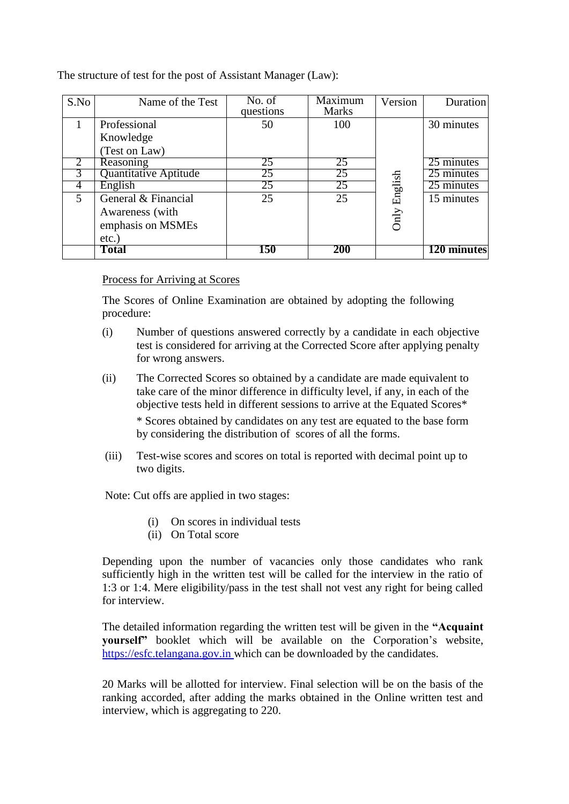The structure of test for the post of Assistant Manager (Law):

| S.No                        | Name of the Test      | No. of<br>questions | Maximum<br><b>Marks</b> | Version | <b>Duration</b> |
|-----------------------------|-----------------------|---------------------|-------------------------|---------|-----------------|
|                             | Professional          | 50                  | 100                     |         | 30 minutes      |
|                             | Knowledge             |                     |                         |         |                 |
|                             | (Test on Law)         |                     |                         |         |                 |
| $\mathcal{D}_{\mathcal{L}}$ | Reasoning             | 25                  | 25                      |         | 25 minutes      |
|                             | Quantitative Aptitude | 25                  | 25                      |         | 25 minutes      |
| 4                           | English               | 25                  | 25                      |         | 25 minutes      |
| 5                           | General & Financial   | 25                  | 25                      | English | 15 minutes      |
|                             | Awareness (with       |                     |                         |         |                 |
|                             | emphasis on MSMEs     |                     |                         | Only    |                 |
|                             | $etc.$ )              |                     |                         |         |                 |
|                             | Total                 | 150                 | 200                     |         | 120 minutes     |

## Process for Arriving at Scores

The Scores of Online Examination are obtained by adopting the following procedure:

- (i) Number of questions answered correctly by a candidate in each objective test is considered for arriving at the Corrected Score after applying penalty for wrong answers.
- (ii) The Corrected Scores so obtained by a candidate are made equivalent to take care of the minor difference in difficulty level, if any, in each of the objective tests held in different sessions to arrive at the Equated Scores\* \* Scores obtained by candidates on any test are equated to the base form by considering the distribution of scores of all the forms.
- (iii) Test-wise scores and scores on total is reported with decimal point up to two digits.

Note: Cut offs are applied in two stages:

- (i) On scores in individual tests
- (ii) On Total score

Depending upon the number of vacancies only those candidates who rank sufficiently high in the written test will be called for the interview in the ratio of 1:3 or 1:4. Mere eligibility/pass in the test shall not vest any right for being called for interview.

The detailed information regarding the written test will be given in the **"Acquaint yourself"** booklet which will be available on the Corporation"s website, https://esfc.telangana.gov.in which can be downloaded by the candidates.

20 Marks will be allotted for interview. Final selection will be on the basis of the ranking accorded, after adding the marks obtained in the Online written test and interview, which is aggregating to 220.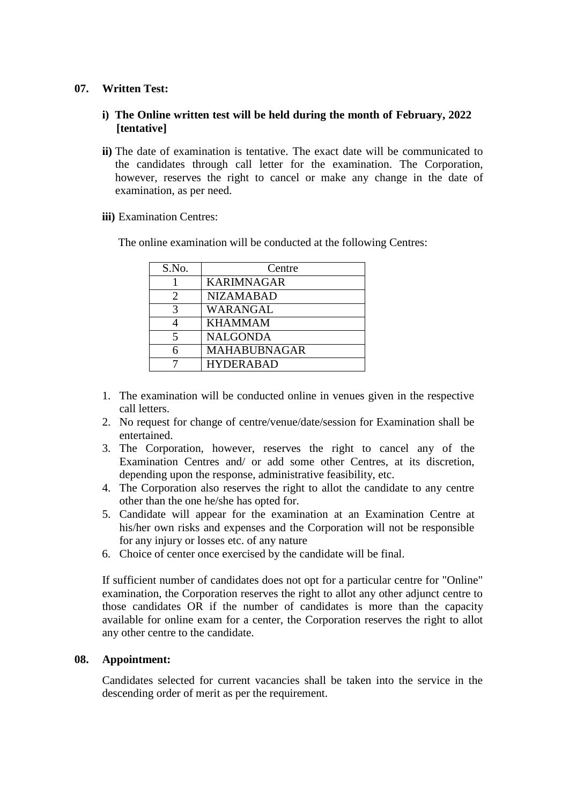## **07. Written Test:**

# **i) The Online written test will be held during the month of February, 2022 [tentative]**

- **ii)** The date of examination is tentative. The exact date will be communicated to the candidates through call letter for the examination. The Corporation, however, reserves the right to cancel or make any change in the date of examination, as per need.
- **iii)** Examination Centres:

The online examination will be conducted at the following Centres:

| S.No. | Centre              |
|-------|---------------------|
|       | <b>KARIMNAGAR</b>   |
|       | <b>NIZAMABAD</b>    |
| 3     | WARANGAL            |
|       | <b>KHAMMAM</b>      |
|       | <b>NALGONDA</b>     |
|       | <b>MAHABUBNAGAR</b> |
|       | <b>HYDERABAD</b>    |

- 1. The examination will be conducted online in venues given in the respective call letters.
- 2. No request for change of centre/venue/date/session for Examination shall be entertained.
- 3. The Corporation, however, reserves the right to cancel any of the Examination Centres and/ or add some other Centres, at its discretion, depending upon the response, administrative feasibility, etc.
- 4. The Corporation also reserves the right to allot the candidate to any centre other than the one he/she has opted for.
- 5. Candidate will appear for the examination at an Examination Centre at his/her own risks and expenses and the Corporation will not be responsible for any injury or losses etc. of any nature
- 6. Choice of center once exercised by the candidate will be final.

If sufficient number of candidates does not opt for a particular centre for "Online" examination, the Corporation reserves the right to allot any other adjunct centre to those candidates OR if the number of candidates is more than the capacity available for online exam for a center, the Corporation reserves the right to allot any other centre to the candidate.

## **08. Appointment:**

Candidates selected for current vacancies shall be taken into the service in the descending order of merit as per the requirement.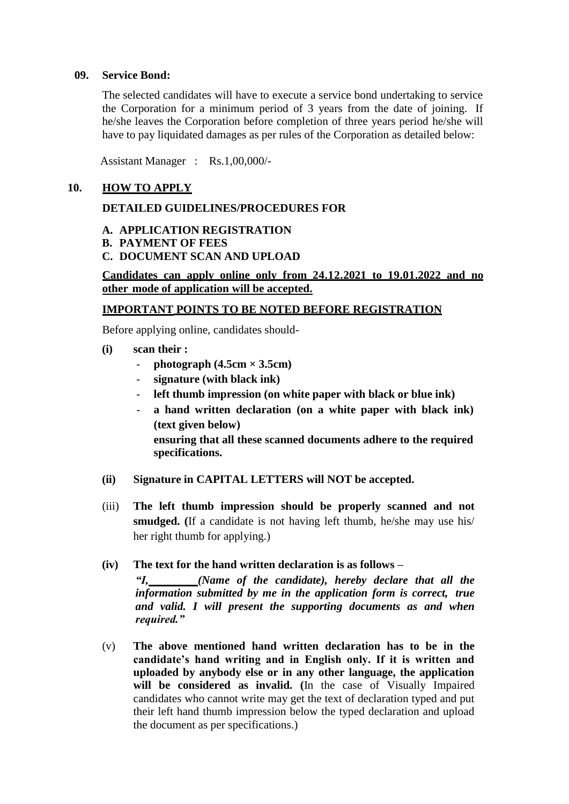### **09. Service Bond:**

The selected candidates will have to execute a service bond undertaking to service the Corporation for a minimum period of 3 years from the date of joining. If he/she leaves the Corporation before completion of three years period he/she will have to pay liquidated damages as per rules of the Corporation as detailed below:

Assistant Manager : Rs.1,00,000/-

### **10. HOW TO APPLY**

#### **DETAILED GUIDELINES/PROCEDURES FOR**

- **A. APPLICATION REGISTRATION**
- **B. PAYMENT OF FEES**
- **C. DOCUMENT SCAN AND UPLOAD**

## **Candidates can apply online only from 24.12.2021 to 19.01.2022 and no other mode of application will be accepted.**

#### **IMPORTANT POINTS TO BE NOTED BEFORE REGISTRATION**

Before applying online, candidates should-

- **(i) scan their :**
	- $photographic (4.5cm \times 3.5cm)$
	- **signature (with black ink)**
	- **left thumb impression (on white paper with black or blue ink)**
	- **a hand written declaration (on a white paper with black ink) (text given below) ensuring that all these scanned documents adhere to the required specifications.**
- **(ii) Signature in CAPITAL LETTERS will NOT be accepted.**
- (iii) **The left thumb impression should be properly scanned and not smudged. (**If a candidate is not having left thumb, he/she may use his/ her right thumb for applying.)

### **(iv) The text for the hand written declaration is as follows –**

*"I, (Name of the candidate), hereby declare that all the information submitted by me in the application form is correct, true and valid. I will present the supporting documents as and when required."*

(v) **The above mentioned hand written declaration has to be in the candidate's hand writing and in English only. If it is written and uploaded by anybody else or in any other language, the application will be considered as invalid. (**In the case of Visually Impaired candidates who cannot write may get the text of declaration typed and put their left hand thumb impression below the typed declaration and upload the document as per specifications.)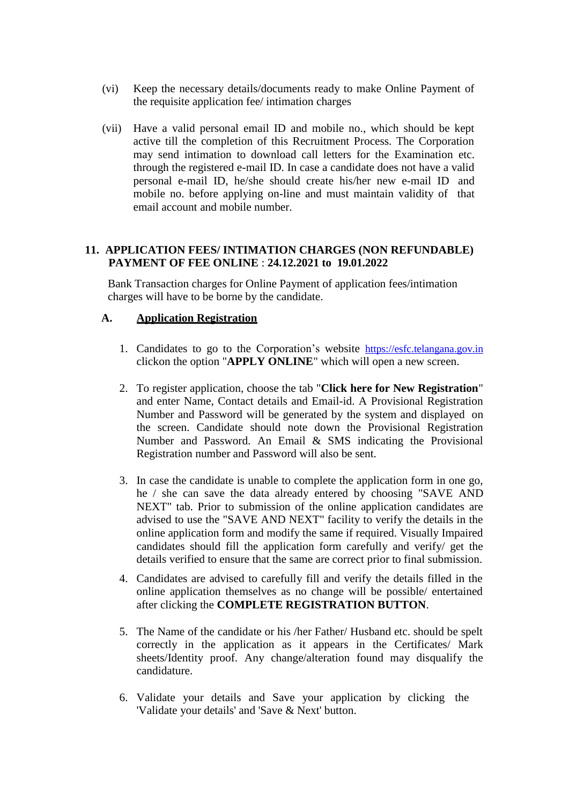- (vi) Keep the necessary details/documents ready to make Online Payment of the requisite application fee/ intimation charges
- (vii) Have a valid personal email ID and mobile no., which should be kept active till the completion of this Recruitment Process. The Corporation may send intimation to download call letters for the Examination etc. through the registered e-mail ID. In case a candidate does not have a valid personal e-mail ID, he/she should create his/her new e-mail ID and mobile no. before applying on-line and must maintain validity of that email account and mobile number.

## **11. APPLICATION FEES/ INTIMATION CHARGES (NON REFUNDABLE) PAYMENT OF FEE ONLINE** : **24.12.2021 to 19.01.2022**

Bank Transaction charges for Online Payment of application fees/intimation charges will have to be borne by the candidate.

# **A. Application Registration**

- 1. Candidates to go to the Corporation's website https://esfc.telangana.gov.in clickon the option "**APPLY ONLINE**" which will open a new screen.
- 2. To register application, choose the tab "**Click here for New Registration**" and enter Name, Contact details and Email-id. A Provisional Registration Number and Password will be generated by the system and displayed on the screen. Candidate should note down the Provisional Registration Number and Password. An Email & SMS indicating the Provisional Registration number and Password will also be sent.
- 3. In case the candidate is unable to complete the application form in one go, he / she can save the data already entered by choosing "SAVE AND NEXT" tab. Prior to submission of the online application candidates are advised to use the "SAVE AND NEXT" facility to verify the details in the online application form and modify the same if required. Visually Impaired candidates should fill the application form carefully and verify/ get the details verified to ensure that the same are correct prior to final submission.
- 4. Candidates are advised to carefully fill and verify the details filled in the online application themselves as no change will be possible/ entertained after clicking the **COMPLETE REGISTRATION BUTTON**.
- 5. The Name of the candidate or his /her Father/ Husband etc. should be spelt correctly in the application as it appears in the Certificates/ Mark sheets/Identity proof. Any change/alteration found may disqualify the candidature.
- 6. Validate your details and Save your application by clicking the 'Validate your details' and 'Save & Next' button.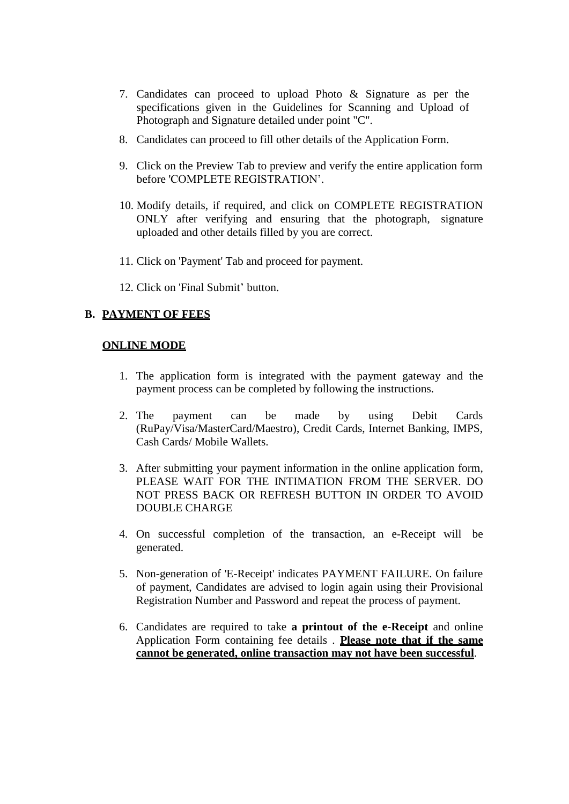- 7. Candidates can proceed to upload Photo & Signature as per the specifications given in the Guidelines for Scanning and Upload of Photograph and Signature detailed under point "C".
- 8. Candidates can proceed to fill other details of the Application Form.
- 9. Click on the Preview Tab to preview and verify the entire application form before 'COMPLETE REGISTRATION".
- 10. Modify details, if required, and click on COMPLETE REGISTRATION ONLY after verifying and ensuring that the photograph, signature uploaded and other details filled by you are correct.
- 11. Click on 'Payment' Tab and proceed for payment.
- 12. Click on 'Final Submit" button.

# **B. PAYMENT OF FEES**

## **ONLINE MODE**

- 1. The application form is integrated with the payment gateway and the payment process can be completed by following the instructions.
- 2. The payment can be made by using Debit Cards (RuPay/Visa/MasterCard/Maestro), Credit Cards, Internet Banking, IMPS, Cash Cards/ Mobile Wallets.
- 3. After submitting your payment information in the online application form, PLEASE WAIT FOR THE INTIMATION FROM THE SERVER. DO NOT PRESS BACK OR REFRESH BUTTON IN ORDER TO AVOID DOUBLE CHARGE
- 4. On successful completion of the transaction, an e-Receipt will be generated.
- 5. Non-generation of 'E-Receipt' indicates PAYMENT FAILURE. On failure of payment, Candidates are advised to login again using their Provisional Registration Number and Password and repeat the process of payment.
- 6. Candidates are required to take **a printout of the e-Receipt** and online Application Form containing fee details . **Please note that if the same cannot be generated, online transaction may not have been successful**.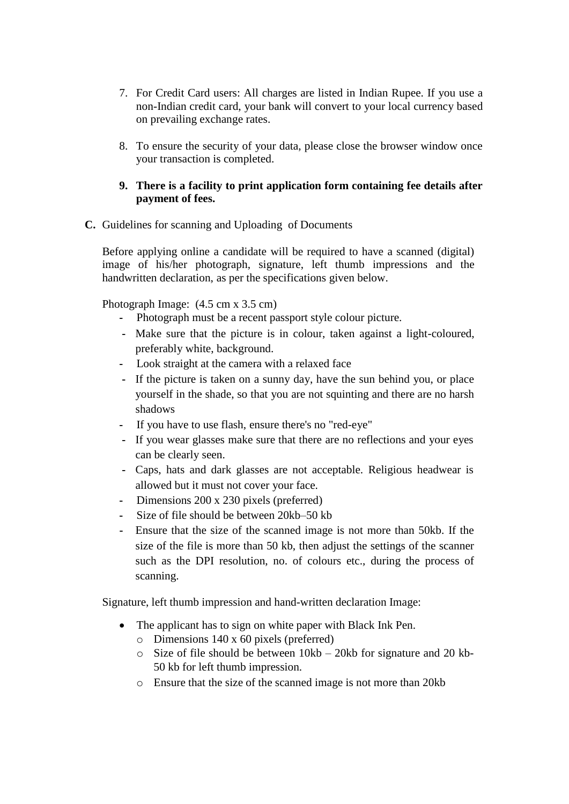- 7. For Credit Card users: All charges are listed in Indian Rupee. If you use a non-Indian credit card, your bank will convert to your local currency based on prevailing exchange rates.
- 8. To ensure the security of your data, please close the browser window once your transaction is completed.

# **9. There is a facility to print application form containing fee details after payment of fees.**

**C.** Guidelines for scanning and Uploading of Documents

Before applying online a candidate will be required to have a scanned (digital) image of his/her photograph, signature, left thumb impressions and the handwritten declaration, as per the specifications given below.

Photograph Image:  $(4.5 \text{ cm} \times 3.5 \text{ cm})$ 

- **-** Photograph must be a recent passport style colour picture.
- **-** Make sure that the picture is in colour, taken against a light-coloured, preferably white, background.
- **-** Look straight at the camera with a relaxed face
- **-** If the picture is taken on a sunny day, have the sun behind you, or place yourself in the shade, so that you are not squinting and there are no harsh shadows
- **-** If you have to use flash, ensure there's no "red-eye"
- **-** If you wear glasses make sure that there are no reflections and your eyes can be clearly seen.
- **-** Caps, hats and dark glasses are not acceptable. Religious headwear is allowed but it must not cover your face.
- **-** Dimensions 200 x 230 pixels (preferred)
- **-** Size of file should be between 20kb–50 kb
- **-** Ensure that the size of the scanned image is not more than 50kb. If the size of the file is more than 50 kb, then adjust the settings of the scanner such as the DPI resolution, no. of colours etc., during the process of scanning.

Signature, left thumb impression and hand-written declaration Image:

- The applicant has to sign on white paper with Black Ink Pen.
	- o Dimensions 140 x 60 pixels (preferred)
	- o Size of file should be between 10kb 20kb for signature and 20 kb-50 kb for left thumb impression.
	- o Ensure that the size of the scanned image is not more than 20kb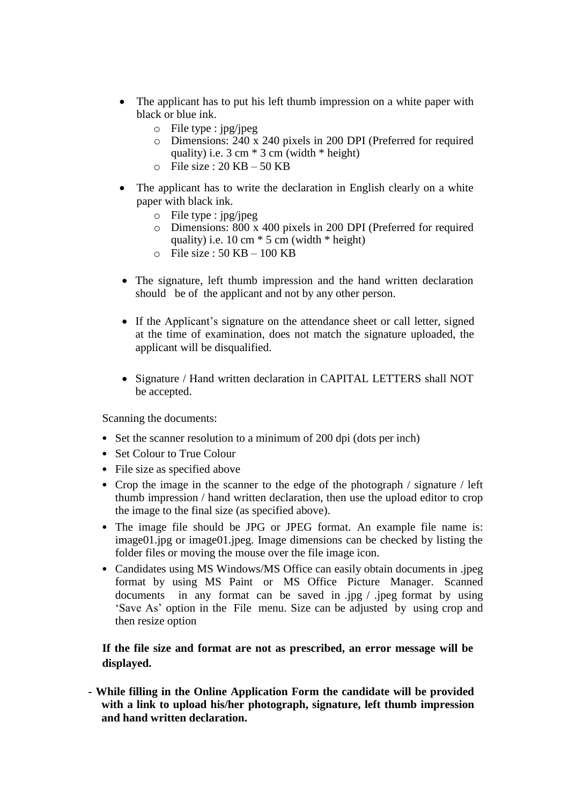- The applicant has to put his left thumb impression on a white paper with black or blue ink.
	- o File type : jpg/jpeg
	- o Dimensions: 240 x 240 pixels in 200 DPI (Preferred for required quality) i.e.  $3 \text{ cm} * 3 \text{ cm}$  (width  $*$  height)
	- $\circ$  File size : 20 KB 50 KB
- The applicant has to write the declaration in English clearly on a white paper with black ink.
	- o File type : jpg/jpeg
	- o Dimensions: 800 x 400 pixels in 200 DPI (Preferred for required quality) i.e.  $10 \text{ cm} * 5 \text{ cm}$  (width  $*$  height)
	- $\circ$  File size : 50 KB 100 KB
- The signature, left thumb impression and the hand written declaration should be of the applicant and not by any other person.
- If the Applicant's signature on the attendance sheet or call letter, signed at the time of examination, does not match the signature uploaded, the applicant will be disqualified.
- Signature / Hand written declaration in CAPITAL LETTERS shall NOT be accepted.

Scanning the documents:

- Set the scanner resolution to a minimum of 200 dpi (dots per inch)
- Set Colour to True Colour
- File size as specified above
- Crop the image in the scanner to the edge of the photograph / signature / left thumb impression / hand written declaration, then use the upload editor to crop the image to the final size (as specified above).
- The image file should be JPG or JPEG format. An example file name is: image01.jpg or image01.jpeg. Image dimensions can be checked by listing the folder files or moving the mouse over the file image icon.
- Candidates using MS Windows/MS Office can easily obtain documents in .jpeg format by using MS Paint or MS Office Picture Manager. Scanned documents in any format can be saved in .jpg / .jpeg format by using "Save As" option in the File menu. Size can be adjusted by using crop and then resize option

# **If the file size and format are not as prescribed, an error message will be displayed.**

**- While filling in the Online Application Form the candidate will be provided with a link to upload his/her photograph, signature, left thumb impression and hand written declaration.**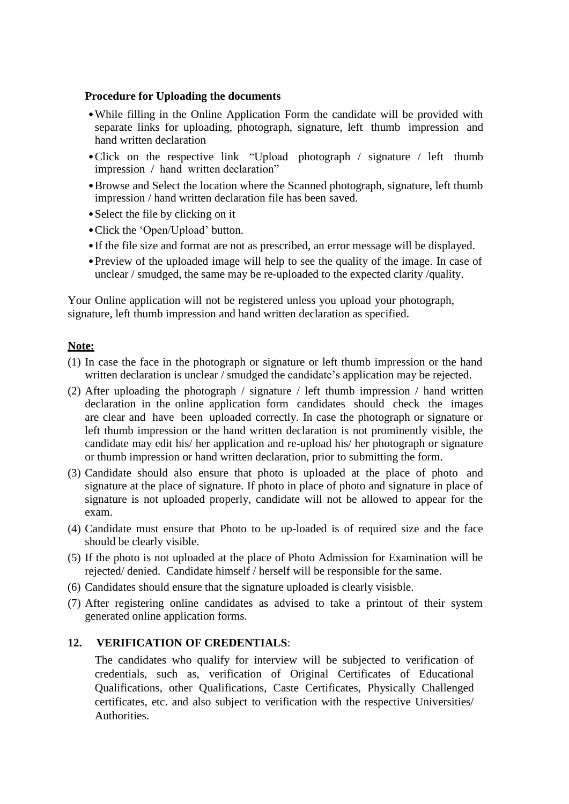### **Procedure for Uploading the documents**

- •While filling in the Online Application Form the candidate will be provided with separate links for uploading, photograph, signature, left thumb impression and hand written declaration
- •Click on the respective link "Upload photograph / signature / left thumb impression / hand written declaration"
- •Browse and Select the location where the Scanned photograph, signature, left thumb impression / hand written declaration file has been saved.
- Select the file by clicking on it
- Click the 'Open/Upload' button.
- •If the file size and format are not as prescribed, an error message will be displayed.
- Preview of the uploaded image will help to see the quality of the image. In case of unclear / smudged, the same may be re-uploaded to the expected clarity /quality.

Your Online application will not be registered unless you upload your photograph, signature, left thumb impression and hand written declaration as specified.

#### **Note:**

- (1) In case the face in the photograph or signature or left thumb impression or the hand written declaration is unclear / smudged the candidate's application may be rejected.
- (2) After uploading the photograph / signature / left thumb impression / hand written declaration in the online application form candidates should check the images are clear and have been uploaded correctly. In case the photograph or signature or left thumb impression or the hand written declaration is not prominently visible, the candidate may edit his/ her application and re-upload his/ her photograph or signature or thumb impression or hand written declaration, prior to submitting the form.
- (3) Candidate should also ensure that photo is uploaded at the place of photo and signature at the place of signature. If photo in place of photo and signature in place of signature is not uploaded properly, candidate will not be allowed to appear for the exam.
- (4) Candidate must ensure that Photo to be up-loaded is of required size and the face should be clearly visible.
- (5) If the photo is not uploaded at the place of Photo Admission for Examination will be rejected/ denied. Candidate himself / herself will be responsible for the same.
- (6) Candidates should ensure that the signature uploaded is clearly visisble.
- (7) After registering online candidates as advised to take a printout of their system generated online application forms.

# **12. VERIFICATION OF CREDENTIALS**:

The candidates who qualify for interview will be subjected to verification of credentials, such as, verification of Original Certificates of Educational Qualifications, other Qualifications, Caste Certificates, Physically Challenged certificates, etc. and also subject to verification with the respective Universities/ Authorities.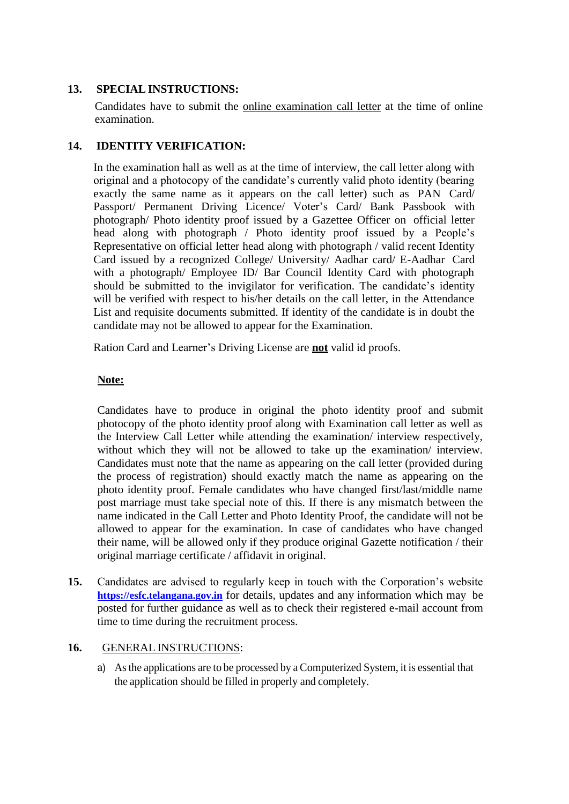# **13. SPECIAL INSTRUCTIONS:**

Candidates have to submit the online examination call letter at the time of online examination.

# **14. IDENTITY VERIFICATION:**

In the examination hall as well as at the time of interview, the call letter along with original and a photocopy of the candidate"s currently valid photo identity (bearing exactly the same name as it appears on the call letter) such as PAN Card/ Passport/ Permanent Driving Licence/ Voter's Card/ Bank Passbook with photograph/ Photo identity proof issued by a Gazettee Officer on official letter head along with photograph / Photo identity proof issued by a People"s Representative on official letter head along with photograph / valid recent Identity Card issued by a recognized College/ University/ Aadhar card/ E-Aadhar Card with a photograph/ Employee ID/ Bar Council Identity Card with photograph should be submitted to the invigilator for verification. The candidate's identity will be verified with respect to his/her details on the call letter, in the Attendance List and requisite documents submitted. If identity of the candidate is in doubt the candidate may not be allowed to appear for the Examination.

Ration Card and Learner"s Driving License are **not** valid id proofs.

# **Note:**

Candidates have to produce in original the photo identity proof and submit photocopy of the photo identity proof along with Examination call letter as well as the Interview Call Letter while attending the examination/ interview respectively, without which they will not be allowed to take up the examination/ interview. Candidates must note that the name as appearing on the call letter (provided during the process of registration) should exactly match the name as appearing on the photo identity proof. Female candidates who have changed first/last/middle name post marriage must take special note of this. If there is any mismatch between the name indicated in the Call Letter and Photo Identity Proof, the candidate will not be allowed to appear for the examination. In case of candidates who have changed their name, will be allowed only if they produce original Gazette notification / their original marriage certificate / affidavit in original.

**15.** Candidates are advised to regularly keep in touch with the Corporation"s website **[https://esfc.telangana.gov.in](https://esfc.telangana.gov.in/)** for details, updates and any information which may be posted for further guidance as well as to check their registered e-mail account from time to time during the recruitment process.

## **16.** GENERAL INSTRUCTIONS:

a) Asthe applications are to be processed by a Computerized System, it is essential that the application should be filled in properly and completely.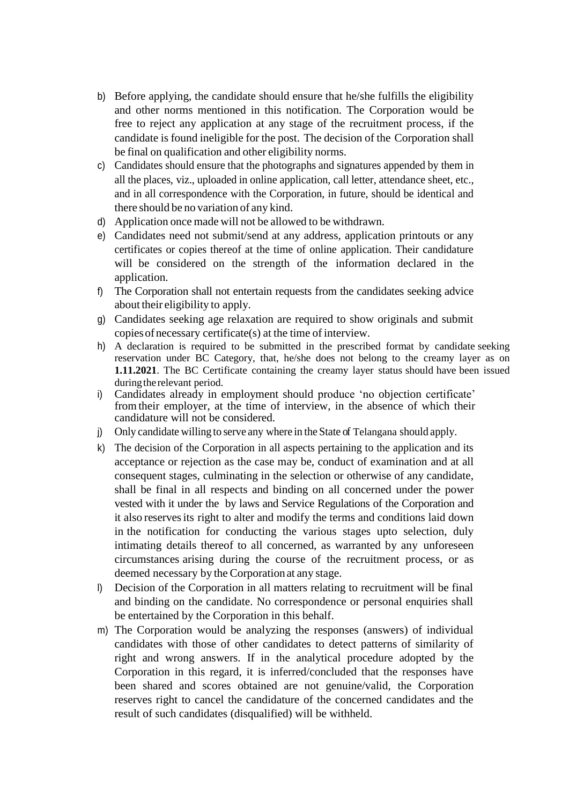- b) Before applying, the candidate should ensure that he/she fulfills the eligibility and other norms mentioned in this notification. The Corporation would be free to reject any application at any stage of the recruitment process, if the candidate is found ineligible for the post. The decision of the Corporation shall be final on qualification and other eligibility norms.
- c) Candidates should ensure that the photographs and signatures appended by them in all the places, viz., uploaded in online application, call letter, attendance sheet, etc., and in all correspondence with the Corporation, in future, should be identical and there should be no variation of any kind.
- d) Application once made will not be allowed to be withdrawn.
- e) Candidates need not submit/send at any address, application printouts or any certificates or copies thereof at the time of online application. Their candidature will be considered on the strength of the information declared in the application.
- f) The Corporation shall not entertain requests from the candidates seeking advice about their eligibility to apply.
- g) Candidates seeking age relaxation are required to show originals and submit copiesofnecessary certificate(s) at the time of interview.
- h) A declaration is required to be submitted in the prescribed format by candidate seeking reservation under BC Category, that, he/she does not belong to the creamy layer as on **1.11.2021**. The BC Certificate containing the creamy layer status should have been issued during the relevant period.
- i) Candidates already in employment should produce "no objection certificate" fromtheir employer, at the time of interview, in the absence of which their candidature will not be considered.
- j) Only candidate willing to serve any where in the State of Telangana should apply.
- k) The decision of the Corporation in all aspects pertaining to the application and its acceptance or rejection as the case may be, conduct of examination and at all consequent stages, culminating in the selection or otherwise of any candidate, shall be final in all respects and binding on all concerned under the power vested with it under the by laws and Service Regulations of the Corporation and it also reservesits right to alter and modify the terms and conditions laid down in the notification for conducting the various stages upto selection, duly intimating details thereof to all concerned, as warranted by any unforeseen circumstances arising during the course of the recruitment process, or as deemed necessary by the Corporationat any stage.
- l) Decision of the Corporation in all matters relating to recruitment will be final and binding on the candidate. No correspondence or personal enquiries shall be entertained by the Corporation in this behalf.
- m) The Corporation would be analyzing the responses (answers) of individual candidates with those of other candidates to detect patterns of similarity of right and wrong answers. If in the analytical procedure adopted by the Corporation in this regard, it is inferred/concluded that the responses have been shared and scores obtained are not genuine/valid, the Corporation reserves right to cancel the candidature of the concerned candidates and the result of such candidates (disqualified) will be withheld.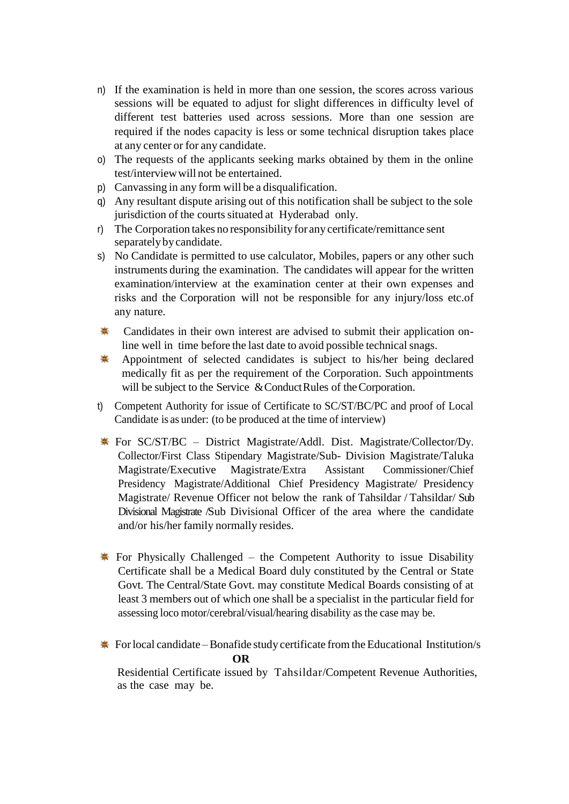- n) If the examination is held in more than one session, the scores across various sessions will be equated to adjust for slight differences in difficulty level of different test batteries used across sessions. More than one session are required if the nodes capacity is less or some technical disruption takes place at any center or for any candidate.
- o) The requests of the applicants seeking marks obtained by them in the online test/interviewwill not be entertained.
- p) Canvassing in any form will be a disqualification.
- q) Any resultant dispute arising out of this notification shall be subject to the sole jurisdiction of the courts situated at Hyderabad only.
- r) The Corporation takes no responsibility for any certificate/remittance sent separatelybycandidate.
- s) No Candidate is permitted to use calculator, Mobiles, papers or any other such instruments during the examination. The candidates will appear for the written examination/interview at the examination center at their own expenses and risks and the Corporation will not be responsible for any injury/loss etc.of any nature.
- \* Candidates in their own interest are advised to submit their application online well in time before the last date to avoid possible technical snags.
- ♣ Appointment of selected candidates is subject to his/her being declared medically fit as per the requirement of the Corporation. Such appointments will be subject to the Service & Conduct Rules of the Corporation.
- t) Competent Authority for issue of Certificate to SC/ST/BC/PC and proof of Local Candidate is as under: (to be produced at the time of interview)
- $\ast$  For SC/ST/BC District Magistrate/Addl. Dist. Magistrate/Collector/Dy. Collector/First Class Stipendary Magistrate/Sub- Division Magistrate/Taluka Magistrate/Executive Magistrate/Extra Assistant Commissioner/Chief Presidency Magistrate/Additional Chief Presidency Magistrate/ Presidency Magistrate/ Revenue Officer not below the rank of Tahsildar / Tahsildar/ Sub Divisional Magistrate /Sub Divisional Officer of the area where the candidate and/or his/her family normally resides.
- For Physically Challenged the Competent Authority to issue Disability Certificate shall be a Medical Board duly constituted by the Central or State Govt. The Central/State Govt. may constitute Medical Boards consisting of at least 3 members out of which one shall be a specialist in the particular field for assessing loco motor/cerebral/visual/hearing disability as the case may be.
- For local candidate Bonafide study certificate from the Educational Institution/s  **OR**

Residential Certificate issued by Tahsildar/Competent Revenue Authorities, as the case may be.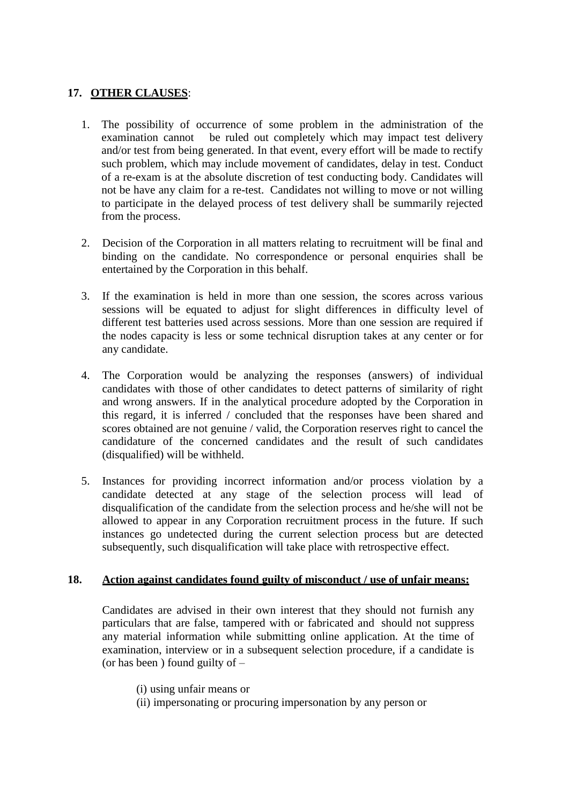# **17. OTHER CLAUSES**:

- 1. The possibility of occurrence of some problem in the administration of the examination cannot be ruled out completely which may impact test delivery and/or test from being generated. In that event, every effort will be made to rectify such problem, which may include movement of candidates, delay in test. Conduct of a re-exam is at the absolute discretion of test conducting body. Candidates will not be have any claim for a re-test. Candidates not willing to move or not willing to participate in the delayed process of test delivery shall be summarily rejected from the process.
- 2. Decision of the Corporation in all matters relating to recruitment will be final and binding on the candidate. No correspondence or personal enquiries shall be entertained by the Corporation in this behalf.
- 3. If the examination is held in more than one session, the scores across various sessions will be equated to adjust for slight differences in difficulty level of different test batteries used across sessions. More than one session are required if the nodes capacity is less or some technical disruption takes at any center or for any candidate.
- 4. The Corporation would be analyzing the responses (answers) of individual candidates with those of other candidates to detect patterns of similarity of right and wrong answers. If in the analytical procedure adopted by the Corporation in this regard, it is inferred / concluded that the responses have been shared and scores obtained are not genuine / valid, the Corporation reserves right to cancel the candidature of the concerned candidates and the result of such candidates (disqualified) will be withheld.
- 5. Instances for providing incorrect information and/or process violation by a candidate detected at any stage of the selection process will lead of disqualification of the candidate from the selection process and he/she will not be allowed to appear in any Corporation recruitment process in the future. If such instances go undetected during the current selection process but are detected subsequently, such disqualification will take place with retrospective effect.

## **18. Action against candidates found guilty of misconduct / use of unfair means:**

Candidates are advised in their own interest that they should not furnish any particulars that are false, tampered with or fabricated and should not suppress any material information while submitting online application. At the time of examination, interview or in a subsequent selection procedure, if a candidate is (or has been ) found guilty of –

- (i) using unfair means or
- (ii) impersonating or procuring impersonation by any person or